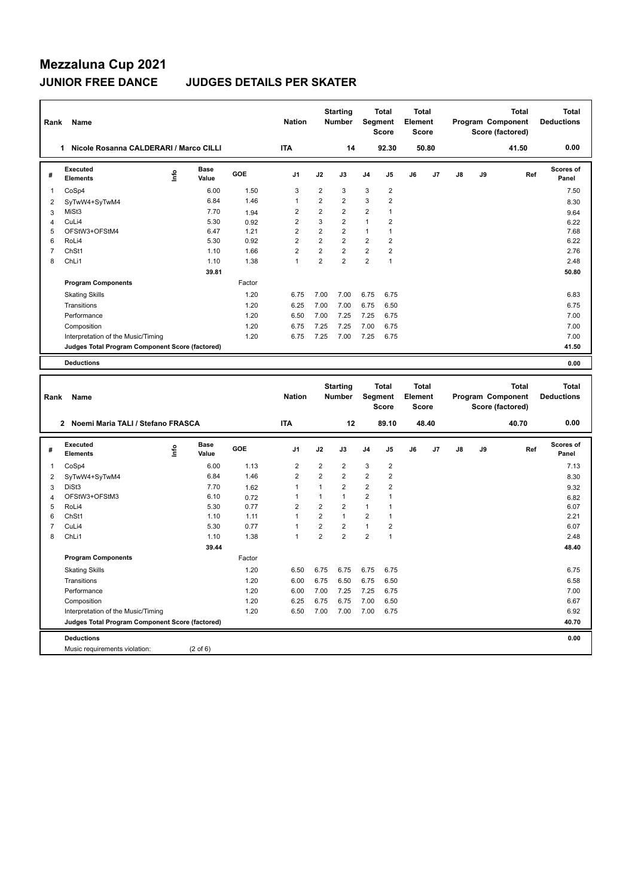## **JUNIOR FREE DANCE JUDGES DETAILS PER SKATER**

| Rank                    | Name                                                   |                                  |                      |              | <b>Nation</b>                |                                  | <b>Starting</b><br><b>Number</b> |                                | Total<br>Segment<br><b>Score</b>        | Total<br>Element<br><b>Score</b>               |       |    |    | <b>Total</b><br>Program Component<br>Score (factored) |     | <b>Total</b><br><b>Deductions</b> |
|-------------------------|--------------------------------------------------------|----------------------------------|----------------------|--------------|------------------------------|----------------------------------|----------------------------------|--------------------------------|-----------------------------------------|------------------------------------------------|-------|----|----|-------------------------------------------------------|-----|-----------------------------------|
|                         | Nicole Rosanna CALDERARI / Marco CILLI<br>$\mathbf{1}$ |                                  |                      |              | <b>ITA</b>                   |                                  | 14                               |                                | 92.30                                   |                                                | 50.80 |    |    | 41.50                                                 |     | 0.00                              |
| #                       | Executed<br><b>Elements</b>                            | ١nf٥                             | <b>Base</b><br>Value | GOE          | J1                           | J2                               | J3                               | J4                             | J5                                      | J6                                             | J7    | J8 | J9 |                                                       | Ref | <b>Scores of</b><br>Panel         |
| 1                       | CoSp4                                                  |                                  | 6.00                 | 1.50         | 3                            | $\overline{2}$                   | 3                                | 3                              | $\sqrt{2}$                              |                                                |       |    |    |                                                       |     | 7.50                              |
| $\overline{2}$          | SyTwW4+SyTwM4                                          |                                  | 6.84                 | 1.46         | $\mathbf{1}$                 | $\overline{2}$                   | $\overline{2}$                   | 3                              | $\overline{2}$                          |                                                |       |    |    |                                                       |     | 8.30                              |
| 3                       | MiSt3                                                  |                                  | 7.70                 | 1.94         | $\overline{2}$               | $\overline{2}$                   | $\overline{2}$                   | $\overline{2}$                 | 1                                       |                                                |       |    |    |                                                       |     | 9.64                              |
| $\overline{4}$          | CuLi4                                                  |                                  | 5.30                 | 0.92         | $\overline{2}$               | 3                                | $\overline{2}$                   | $\mathbf{1}$                   | $\overline{2}$                          |                                                |       |    |    |                                                       |     | 6.22                              |
| 5                       | OFStW3+OFStM4                                          |                                  | 6.47                 | 1.21         | $\sqrt{2}$                   | $\sqrt{2}$                       | $\boldsymbol{2}$                 | $\mathbf{1}$                   | $\mathbf{1}$                            |                                                |       |    |    |                                                       |     | 7.68                              |
| 6                       | RoLi4                                                  |                                  | 5.30                 | 0.92         | $\overline{2}$               | $\overline{2}$                   | $\overline{2}$                   | $\overline{2}$                 | $\overline{2}$                          |                                                |       |    |    |                                                       |     | 6.22                              |
| $\overline{7}$          | ChSt1                                                  |                                  | 1.10                 | 1.66         | $\overline{2}$               | $\overline{2}$                   | $\overline{2}$                   | $\overline{2}$                 | $\overline{2}$                          |                                                |       |    |    |                                                       |     | 2.76                              |
| 8                       | ChL <sub>i1</sub>                                      |                                  | 1.10                 | 1.38         | $\mathbf{1}$                 | $\overline{2}$                   | $\overline{2}$                   | $\overline{2}$                 | $\mathbf{1}$                            |                                                |       |    |    |                                                       |     | 2.48                              |
|                         |                                                        |                                  | 39.81                |              |                              |                                  |                                  |                                |                                         |                                                |       |    |    |                                                       |     | 50.80                             |
|                         | <b>Program Components</b>                              |                                  |                      | Factor       |                              |                                  |                                  |                                |                                         |                                                |       |    |    |                                                       |     |                                   |
|                         | <b>Skating Skills</b>                                  |                                  |                      | 1.20         | 6.75                         | 7.00                             | 7.00                             | 6.75                           | 6.75                                    |                                                |       |    |    |                                                       |     | 6.83                              |
|                         | Transitions                                            |                                  |                      | 1.20         | 6.25                         | 7.00                             | 7.00                             | 6.75                           | 6.50                                    |                                                |       |    |    |                                                       |     | 6.75                              |
|                         | Performance                                            |                                  |                      | 1.20         | 6.50                         | 7.00                             | 7.25                             | 7.25                           | 6.75                                    |                                                |       |    |    |                                                       |     | 7.00                              |
|                         | Composition                                            |                                  |                      | 1.20         | 6.75                         | 7.25                             | 7.25                             | 7.00                           | 6.75                                    |                                                |       |    |    |                                                       |     | 7.00                              |
|                         | Interpretation of the Music/Timing                     |                                  |                      | 1.20         | 6.75                         | 7.25                             | 7.00                             | 7.25                           | 6.75                                    |                                                |       |    |    |                                                       |     | 7.00                              |
|                         | Judges Total Program Component Score (factored)        |                                  |                      |              |                              |                                  |                                  |                                |                                         |                                                |       |    |    |                                                       |     | 41.50                             |
|                         |                                                        |                                  |                      |              |                              |                                  |                                  |                                |                                         |                                                |       |    |    |                                                       |     |                                   |
|                         | <b>Deductions</b>                                      |                                  |                      |              |                              |                                  |                                  |                                |                                         |                                                |       |    |    |                                                       |     | 0.00                              |
|                         |                                                        |                                  |                      |              |                              |                                  |                                  |                                |                                         |                                                |       |    |    |                                                       |     |                                   |
| Rank                    | Name                                                   |                                  |                      |              | <b>Nation</b>                |                                  | <b>Starting</b><br><b>Number</b> |                                | <b>Total</b><br>Segment<br><b>Score</b> | <b>Total</b><br><b>Element</b><br><b>Score</b> |       |    |    | <b>Total</b><br>Program Component<br>Score (factored) |     | Total<br><b>Deductions</b>        |
|                         | 2 Noemi Maria TALI / Stefano FRASCA                    |                                  |                      |              | <b>ITA</b>                   |                                  | 12                               |                                | 89.10                                   |                                                | 48.40 |    |    | 40.70                                                 |     | 0.00                              |
| #                       | Executed<br><b>Elements</b>                            | $\mathop{\mathsf{Int}}\nolimits$ | Base<br>Value        | GOE          | J <sub>1</sub>               | J2                               | J3                               | J4                             | J5                                      | J6                                             | J7    | J8 | J9 |                                                       | Ref | Scores of<br>Panel                |
|                         |                                                        |                                  |                      |              |                              |                                  |                                  |                                |                                         |                                                |       |    |    |                                                       |     |                                   |
| $\mathbf{1}$            | CoSp4                                                  |                                  | 6.00                 | 1.13         | $\overline{2}$               | $\overline{2}$                   | $\overline{2}$                   | 3                              | $\overline{2}$                          |                                                |       |    |    |                                                       |     | 7.13                              |
| $\overline{\mathbf{c}}$ | SyTwW4+SyTwM4                                          |                                  | 6.84                 | 1.46         | $\overline{2}$               | $\overline{2}$                   | $\overline{2}$                   | $\overline{2}$                 | $\overline{2}$                          |                                                |       |    |    |                                                       |     | 8.30                              |
| 3                       | DiSt3                                                  |                                  | 7.70                 | 1.62         | $\mathbf{1}$                 | $\mathbf{1}$                     | $\overline{2}$                   | $\overline{2}$                 | $\overline{2}$                          |                                                |       |    |    |                                                       |     | 9.32                              |
| 4                       | OFStW3+OFStM3                                          |                                  | 6.10                 | 0.72         | $\mathbf{1}$                 | $\mathbf{1}$                     | $\mathbf{1}$                     | $\overline{2}$<br>1            | 1<br>$\mathbf{1}$                       |                                                |       |    |    |                                                       |     | 6.82                              |
| 5                       | RoLi4                                                  |                                  | 5.30                 | 0.77         | $\overline{2}$               | $\overline{2}$                   | $\overline{2}$                   |                                |                                         |                                                |       |    |    |                                                       |     | 6.07                              |
| 6<br>$\overline{7}$     | ChSt1<br>CuLi4                                         |                                  | 1.10<br>5.30         | 1.11<br>0.77 | $\mathbf{1}$<br>$\mathbf{1}$ | $\overline{2}$<br>$\overline{2}$ | $\mathbf{1}$<br>$\overline{2}$   | $\overline{2}$<br>$\mathbf{1}$ | $\mathbf{1}$<br>$\overline{2}$          |                                                |       |    |    |                                                       |     | 2.21<br>6.07                      |
|                         |                                                        |                                  |                      |              | $\mathbf{1}$                 |                                  | $\overline{2}$                   |                                |                                         |                                                |       |    |    |                                                       |     |                                   |
| 8                       | ChLi1                                                  |                                  | 1.10                 | 1.38         |                              | $\overline{2}$                   |                                  | 2                              | $\mathbf{1}$                            |                                                |       |    |    |                                                       |     | 2.48                              |
|                         |                                                        |                                  | 39.44                |              |                              |                                  |                                  |                                |                                         |                                                |       |    |    |                                                       |     | 48.40                             |
|                         | <b>Program Components</b>                              |                                  |                      | Factor       |                              |                                  |                                  |                                |                                         |                                                |       |    |    |                                                       |     |                                   |
|                         | <b>Skating Skills</b>                                  |                                  |                      | 1.20         | 6.50                         | 6.75                             | 6.75                             | 6.75                           | 6.75                                    |                                                |       |    |    |                                                       |     | 6.75                              |
|                         | Transitions                                            |                                  |                      | 1.20         | 6.00                         | 6.75                             | 6.50                             | 6.75                           | 6.50                                    |                                                |       |    |    |                                                       |     | 6.58                              |
|                         | Performance                                            |                                  |                      | 1.20         | 6.00                         | 7.00                             | 7.25                             | 7.25                           | 6.75                                    |                                                |       |    |    |                                                       |     | 7.00                              |
|                         | Composition                                            |                                  |                      | 1.20         | 6.25                         | 6.75                             | 6.75                             | 7.00                           | 6.50                                    |                                                |       |    |    |                                                       |     | 6.67                              |
|                         | Interpretation of the Music/Timing                     |                                  |                      | 1.20         | 6.50                         | 7.00                             | 7.00                             | 7.00                           | 6.75                                    |                                                |       |    |    |                                                       |     | 6.92                              |
|                         | Judges Total Program Component Score (factored)        |                                  |                      |              |                              |                                  |                                  |                                |                                         |                                                |       |    |    |                                                       |     | 40.70                             |
|                         | <b>Deductions</b>                                      |                                  |                      |              |                              |                                  |                                  |                                |                                         |                                                |       |    |    |                                                       |     | 0.00                              |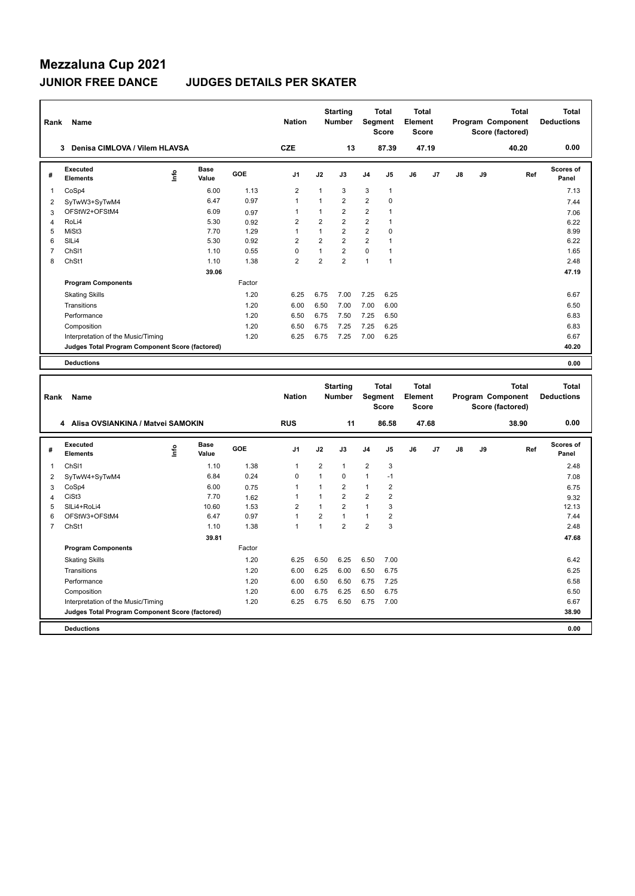## **JUNIOR FREE DANCE JUDGES DETAILS PER SKATER**

| Rank                    | Name                                            |                                  |                      |        | <b>Nation</b>  |                         | <b>Starting</b><br><b>Number</b> |                         | <b>Total</b><br>Segment<br><b>Score</b> | Total<br>Element<br><b>Score</b> |       |    |    | Total<br>Program Component<br>Score (factored) |     | <b>Total</b><br><b>Deductions</b> |
|-------------------------|-------------------------------------------------|----------------------------------|----------------------|--------|----------------|-------------------------|----------------------------------|-------------------------|-----------------------------------------|----------------------------------|-------|----|----|------------------------------------------------|-----|-----------------------------------|
|                         | 3 Denisa CIMLOVA / Vilem HLAVSA                 |                                  |                      |        | <b>CZE</b>     |                         | 13                               |                         | 87.39                                   |                                  | 47.19 |    |    | 40.20                                          |     | 0.00                              |
| #                       | Executed<br><b>Elements</b>                     | ۴ů                               | Base<br>Value        | GOE    | J <sub>1</sub> | J2                      | J3                               | J <sub>4</sub>          | J5                                      | J6                               | J7    | J8 | J9 |                                                | Ref | Scores of<br>Panel                |
| $\mathbf{1}$            | CoSp4                                           |                                  | 6.00                 | 1.13   | $\overline{2}$ | $\mathbf{1}$            | 3                                | 3                       | 1                                       |                                  |       |    |    |                                                |     | 7.13                              |
| $\overline{2}$          | SyTwW3+SyTwM4                                   |                                  | 6.47                 | 0.97   | $\overline{1}$ | $\mathbf{1}$            | $\overline{2}$                   | $\overline{2}$          | $\mathbf 0$                             |                                  |       |    |    |                                                |     | 7.44                              |
| 3                       | OFStW2+OFStM4                                   |                                  | 6.09                 | 0.97   | $\mathbf{1}$   | $\mathbf{1}$            | $\overline{2}$                   | $\overline{2}$          | $\mathbf{1}$                            |                                  |       |    |    |                                                |     | 7.06                              |
| $\overline{4}$          | RoLi4                                           |                                  | 5.30                 | 0.92   | $\overline{2}$ | $\overline{2}$          | $\overline{2}$                   | $\overline{2}$          | $\mathbf{1}$                            |                                  |       |    |    |                                                |     | 6.22                              |
| 5                       | MiSt3                                           |                                  | 7.70                 | 1.29   | $\mathbf{1}$   | $\mathbf{1}$            | $\overline{2}$                   | $\overline{2}$          | 0                                       |                                  |       |    |    |                                                |     | 8.99                              |
| 6                       | SILi4                                           |                                  | 5.30                 | 0.92   | $\overline{2}$ | $\overline{2}$          | $\overline{2}$                   | $\overline{2}$          | $\mathbf{1}$                            |                                  |       |    |    |                                                |     | 6.22                              |
| $\overline{7}$          | ChS <sub>11</sub>                               |                                  | 1.10                 | 0.55   | $\mathbf 0$    | $\mathbf{1}$            | $\overline{2}$                   | $\mathbf 0$             | $\mathbf{1}$                            |                                  |       |    |    |                                                |     | 1.65                              |
| 8                       | ChSt1                                           |                                  | 1.10                 | 1.38   | $\overline{2}$ | $\overline{2}$          | $\overline{2}$                   | $\mathbf{1}$            | $\mathbf{1}$                            |                                  |       |    |    |                                                |     | 2.48                              |
|                         |                                                 |                                  | 39.06                |        |                |                         |                                  |                         |                                         |                                  |       |    |    |                                                |     | 47.19                             |
|                         | <b>Program Components</b>                       |                                  |                      | Factor |                |                         |                                  |                         |                                         |                                  |       |    |    |                                                |     |                                   |
|                         | <b>Skating Skills</b>                           |                                  |                      | 1.20   | 6.25           | 6.75                    | 7.00                             | 7.25                    | 6.25                                    |                                  |       |    |    |                                                |     | 6.67                              |
|                         | Transitions                                     |                                  |                      | 1.20   | 6.00           | 6.50                    | 7.00                             | 7.00                    | 6.00                                    |                                  |       |    |    |                                                |     | 6.50                              |
|                         | Performance                                     |                                  |                      | 1.20   | 6.50           | 6.75                    | 7.50                             | 7.25                    | 6.50                                    |                                  |       |    |    |                                                |     | 6.83                              |
|                         | Composition                                     |                                  |                      | 1.20   | 6.50           | 6.75                    | 7.25                             | 7.25                    | 6.25                                    |                                  |       |    |    |                                                |     | 6.83                              |
|                         | Interpretation of the Music/Timing              |                                  |                      | 1.20   | 6.25           | 6.75                    | 7.25                             | 7.00                    | 6.25                                    |                                  |       |    |    |                                                |     | 6.67                              |
|                         | Judges Total Program Component Score (factored) |                                  |                      |        |                |                         |                                  |                         |                                         |                                  |       |    |    |                                                |     | 40.20                             |
|                         | <b>Deductions</b>                               |                                  |                      |        |                |                         |                                  |                         |                                         |                                  |       |    |    |                                                |     | 0.00                              |
|                         |                                                 |                                  |                      |        |                |                         |                                  |                         |                                         |                                  |       |    |    |                                                |     |                                   |
|                         |                                                 |                                  |                      |        |                |                         |                                  |                         |                                         |                                  |       |    |    |                                                |     |                                   |
| Rank                    | Name                                            |                                  |                      |        | <b>Nation</b>  |                         | <b>Starting</b><br><b>Number</b> |                         | <b>Total</b><br>Segment                 | Total<br><b>Element</b>          |       |    |    | Total<br>Program Component                     |     | Total<br><b>Deductions</b>        |
|                         |                                                 |                                  |                      |        |                |                         |                                  |                         | <b>Score</b>                            | <b>Score</b>                     |       |    |    | Score (factored)                               |     |                                   |
|                         | 4 Alisa OVSIANKINA / Matvei SAMOKIN             |                                  |                      |        | <b>RUS</b>     |                         | 11                               |                         | 86.58                                   |                                  | 47.68 |    |    | 38.90                                          |     | 0.00                              |
| #                       | Executed<br><b>Elements</b>                     | $\mathop{\mathsf{Int}}\nolimits$ | <b>Base</b><br>Value | GOE    | J <sub>1</sub> | J2                      | J3                               | J <sub>4</sub>          | J5                                      | J6                               | J7    | J8 | J9 |                                                | Ref | <b>Scores of</b><br>Panel         |
| $\mathbf{1}$            | ChS <sub>11</sub>                               |                                  | 1.10                 | 1.38   | $\mathbf{1}$   | $\overline{\mathbf{c}}$ | $\mathbf{1}$                     | $\overline{\mathbf{c}}$ | 3                                       |                                  |       |    |    |                                                |     | 2.48                              |
| $\overline{\mathbf{c}}$ |                                                 |                                  | 6.84                 | 0.24   | $\mathbf 0$    | $\overline{1}$          | 0                                | $\mathbf{1}$            | $-1$                                    |                                  |       |    |    |                                                |     | 7.08                              |
| 3                       | SyTwW4+SyTwM4<br>CoSp4                          |                                  | 6.00                 | 0.75   | $\mathbf{1}$   | 1                       | $\overline{2}$                   | $\mathbf{1}$            | $\overline{2}$                          |                                  |       |    |    |                                                |     | 6.75                              |
| 4                       | CiSt3                                           |                                  | 7.70                 | 1.62   | $\mathbf{1}$   | $\mathbf{1}$            | $\overline{2}$                   | $\overline{2}$          | $\overline{2}$                          |                                  |       |    |    |                                                |     | 9.32                              |
| 5                       | SILi4+RoLi4                                     |                                  | 10.60                | 1.53   | $\overline{2}$ | $\mathbf{1}$            | $\overline{2}$                   | $\mathbf{1}$            | 3                                       |                                  |       |    |    |                                                |     | 12.13                             |
| 6                       | OFStW3+OFStM4                                   |                                  | 6.47                 | 0.97   | $\mathbf{1}$   | $\overline{2}$          | $\mathbf{1}$                     | $\mathbf{1}$            | $\overline{2}$                          |                                  |       |    |    |                                                |     | 7.44                              |
| $\overline{7}$          | ChSt1                                           |                                  | 1.10                 | 1.38   | $\mathbf{1}$   | $\mathbf{1}$            | $\overline{2}$                   | $\overline{2}$          | 3                                       |                                  |       |    |    |                                                |     | 2.48                              |
|                         |                                                 |                                  | 39.81                |        |                |                         |                                  |                         |                                         |                                  |       |    |    |                                                |     | 47.68                             |
|                         | <b>Program Components</b>                       |                                  |                      | Factor |                |                         |                                  |                         |                                         |                                  |       |    |    |                                                |     |                                   |
|                         | <b>Skating Skills</b>                           |                                  |                      | 1.20   | 6.25           | 6.50                    | 6.25                             | 6.50                    | 7.00                                    |                                  |       |    |    |                                                |     | 6.42                              |
|                         | Transitions                                     |                                  |                      | 1.20   | 6.00           | 6.25                    | 6.00                             | 6.50                    | 6.75                                    |                                  |       |    |    |                                                |     | 6.25                              |
|                         | Performance                                     |                                  |                      | 1.20   | 6.00           | 6.50                    | 6.50                             | 6.75                    | 7.25                                    |                                  |       |    |    |                                                |     | 6.58                              |
|                         | Composition                                     |                                  |                      | 1.20   | 6.00           | 6.75                    | 6.25                             | 6.50                    | 6.75                                    |                                  |       |    |    |                                                |     | 6.50                              |
|                         | Interpretation of the Music/Timing              |                                  |                      | 1.20   | 6.25           | 6.75                    | 6.50                             | 6.75                    | 7.00                                    |                                  |       |    |    |                                                |     | 6.67                              |
|                         | Judges Total Program Component Score (factored) |                                  |                      |        |                |                         |                                  |                         |                                         |                                  |       |    |    |                                                |     | 38.90                             |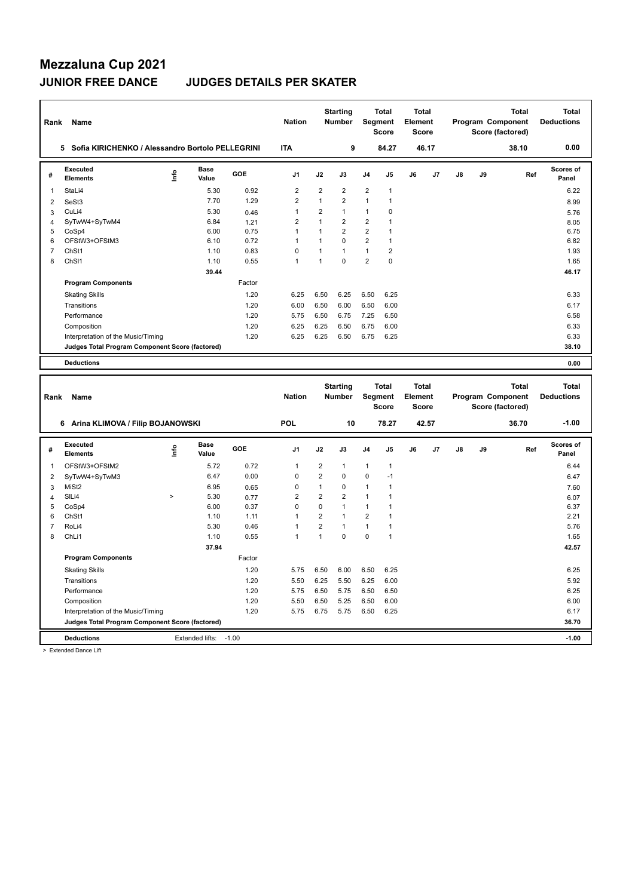### **JUNIOR FREE DANCE JUDGES DETAILS PER SKATER**

| Rank           | Name                                               |              |                      |        | <b>Nation</b>  |                | <b>Starting</b><br>Number |                | <b>Total</b><br>Segment<br><b>Score</b> | <b>Total</b><br>Element<br>Score        |                |               | Program Component | Score (factored) | <b>Total</b> | <b>Total</b><br><b>Deductions</b> |
|----------------|----------------------------------------------------|--------------|----------------------|--------|----------------|----------------|---------------------------|----------------|-----------------------------------------|-----------------------------------------|----------------|---------------|-------------------|------------------|--------------|-----------------------------------|
|                | 5 Sofia KIRICHENKO / Alessandro Bortolo PELLEGRINI |              |                      |        | <b>ITA</b>     |                | 9                         |                | 84.27                                   |                                         | 46.17          |               |                   |                  | 38.10        | 0.00                              |
| #              | Executed<br><b>Elements</b>                        | ١nf٥         | <b>Base</b><br>Value | GOE    | J1             | J2             | J3                        | J <sub>4</sub> | J5                                      | J6                                      | J <sub>7</sub> | $\mathsf{J}8$ | J9                |                  | Ref          | <b>Scores of</b><br>Panel         |
| $\mathbf{1}$   | StaLi4                                             |              | 5.30                 | 0.92   | $\overline{2}$ | $\overline{2}$ | $\overline{2}$            | $\overline{2}$ | $\mathbf{1}$                            |                                         |                |               |                   |                  |              | 6.22                              |
| $\overline{2}$ | SeSt3                                              |              | 7.70                 | 1.29   | $\overline{2}$ | $\mathbf{1}$   | $\overline{2}$            | $\mathbf{1}$   | $\overline{1}$                          |                                         |                |               |                   |                  |              | 8.99                              |
| 3              | CuLi4                                              |              | 5.30                 | 0.46   | $\mathbf{1}$   | $\overline{2}$ | $\mathbf{1}$              | $\mathbf{1}$   | $\mathbf 0$                             |                                         |                |               |                   |                  |              | 5.76                              |
| 4              | SyTwW4+SyTwM4                                      |              | 6.84                 | 1.21   | $\overline{2}$ | $\mathbf{1}$   | $\overline{2}$            | $\overline{2}$ | 1                                       |                                         |                |               |                   |                  |              | 8.05                              |
| 5              | CoSp4                                              |              | 6.00                 | 0.75   | $\mathbf{1}$   | 1              | $\overline{2}$            | $\overline{2}$ | $\mathbf{1}$                            |                                         |                |               |                   |                  |              | 6.75                              |
| 6              | OFStW3+OFStM3                                      |              | 6.10                 | 0.72   | $\mathbf{1}$   | $\mathbf{1}$   | $\Omega$                  | $\overline{2}$ | $\mathbf{1}$                            |                                         |                |               |                   |                  |              | 6.82                              |
| $\overline{7}$ | ChSt1                                              |              | 1.10                 | 0.83   | $\mathbf 0$    | 1              | $\mathbf{1}$              | $\mathbf{1}$   | $\overline{2}$                          |                                         |                |               |                   |                  |              | 1.93                              |
| 8              | ChS <sub>11</sub>                                  |              | 1.10                 | 0.55   | $\mathbf{1}$   | $\mathbf{1}$   | $\mathbf 0$               | $\sqrt{2}$     | $\mathbf 0$                             |                                         |                |               |                   |                  |              | 1.65                              |
|                |                                                    |              | 39.44                |        |                |                |                           |                |                                         |                                         |                |               |                   |                  |              | 46.17                             |
|                | <b>Program Components</b>                          |              |                      | Factor |                |                |                           |                |                                         |                                         |                |               |                   |                  |              |                                   |
|                | <b>Skating Skills</b>                              |              |                      | 1.20   | 6.25           | 6.50           | 6.25                      | 6.50           | 6.25                                    |                                         |                |               |                   |                  |              | 6.33                              |
|                | Transitions                                        |              |                      | 1.20   | 6.00           | 6.50           | 6.00                      | 6.50           | 6.00                                    |                                         |                |               |                   |                  |              | 6.17                              |
|                | Performance                                        |              |                      | 1.20   | 5.75           | 6.50           | 6.75                      | 7.25           | 6.50                                    |                                         |                |               |                   |                  |              | 6.58                              |
|                | Composition                                        |              |                      | 1.20   | 6.25           | 6.25           | 6.50                      | 6.75           | 6.00                                    |                                         |                |               |                   |                  |              | 6.33                              |
|                | Interpretation of the Music/Timing                 |              |                      | 1.20   | 6.25           | 6.25           | 6.50                      | 6.75           | 6.25                                    |                                         |                |               |                   |                  |              | 6.33                              |
|                | Judges Total Program Component Score (factored)    |              |                      |        |                |                |                           |                |                                         |                                         |                |               |                   |                  |              | 38.10                             |
|                | <b>Deductions</b>                                  |              |                      |        |                |                |                           |                |                                         |                                         |                |               |                   |                  |              | 0.00                              |
|                |                                                    |              |                      |        |                |                |                           |                |                                         |                                         |                |               |                   |                  |              |                                   |
| Rank           | Name                                               |              |                      |        | <b>Nation</b>  |                | <b>Starting</b><br>Number |                | <b>Total</b><br>Segment<br><b>Score</b> | <b>Total</b><br>Element<br><b>Score</b> |                |               | Program Component | Score (factored) | <b>Total</b> | <b>Total</b><br><b>Deductions</b> |
|                | 6 Arina KLIMOVA / Filip BOJANOWSKI                 |              |                      |        | POL            |                | 10                        |                | 78.27                                   |                                         | 42.57          |               |                   |                  | 36.70        | $-1.00$                           |
| #              | Executed<br><b>Elements</b>                        | lnfo         | <b>Base</b><br>Value | GOE    | J1             | J2             | J3                        | J <sub>4</sub> | J5                                      | J6                                      | J <sub>7</sub> | $\mathsf{J}8$ | J9                |                  | Ref          | <b>Scores of</b><br>Panel         |
| 1              | OFStW3+OFStM2                                      |              | 5.72                 | 0.72   | 1              | $\overline{2}$ | 1                         | 1              | $\mathbf{1}$                            |                                         |                |               |                   |                  |              | 6.44                              |
| $\overline{2}$ | SyTwW4+SyTwM3                                      |              | 6.47                 | 0.00   | $\mathbf 0$    | $\overline{2}$ | $\pmb{0}$                 | $\mathbf 0$    | $-1$                                    |                                         |                |               |                   |                  |              | 6.47                              |
| 3              | MiSt <sub>2</sub>                                  |              | 6.95                 | 0.65   | $\mathbf 0$    | 1              | $\Omega$                  | $\mathbf{1}$   | $\mathbf{1}$                            |                                         |                |               |                   |                  |              | 7.60                              |
| 4              | SILi4                                              | $\mathbf{L}$ | 5.30                 | 0.77   | $\overline{2}$ | $\overline{2}$ | $\overline{2}$            | $\mathbf{1}$   | $\mathbf{1}$                            |                                         |                |               |                   |                  |              | 6.07                              |
| 5              | CoSp4                                              |              | 6.00                 | 0.37   | $\mathbf 0$    | 0              | $\mathbf{1}$              | $\mathbf{1}$   | $\mathbf{1}$                            |                                         |                |               |                   |                  |              | 6.37                              |
| 6              | ChSt1                                              |              | 1.10                 | 1.11   | $\mathbf{1}$   | $\overline{2}$ | $\mathbf{1}$              | $\overline{2}$ | $\mathbf{1}$                            |                                         |                |               |                   |                  |              | 2.21                              |
| $\overline{7}$ | RoLi4                                              |              | 5.30                 | 0.46   | $\mathbf{1}$   | $\overline{2}$ | $\mathbf{1}$              | $\mathbf{1}$   | $\mathbf{1}$                            |                                         |                |               |                   |                  |              | 5.76                              |
| 8              | ChLi1                                              |              | 1.10                 | 0.55   | $\mathbf{1}$   | $\mathbf{1}$   | $\Omega$                  | $\mathbf 0$    | $\mathbf{1}$                            |                                         |                |               |                   |                  |              | 1.65                              |
|                |                                                    |              | 37.94                |        |                |                |                           |                |                                         |                                         |                |               |                   |                  |              | 42.57                             |
|                | <b>Program Components</b>                          |              |                      | Factor |                |                |                           |                |                                         |                                         |                |               |                   |                  |              |                                   |
|                | <b>Skating Skills</b>                              |              |                      | 1.20   | 5.75           | 6.50           | 6.00                      | 6.50           | 6.25                                    |                                         |                |               |                   |                  |              | 6.25                              |
|                | Transitions                                        |              |                      | 1.20   | 5.50           | 6.25           | 5.50                      | 6.25           | 6.00                                    |                                         |                |               |                   |                  |              | 5.92                              |
|                | Performance                                        |              |                      | 1.20   | 5.75           | 6.50           | 5.75                      | 6.50           | 6.50                                    |                                         |                |               |                   |                  |              | 6.25                              |
|                | Composition                                        |              |                      | 1.20   | 5.50           | 6.50           | 5.25                      | 6.50           | 6.00                                    |                                         |                |               |                   |                  |              | 6.00                              |
|                | Interpretation of the Music/Timing                 |              |                      | 1.20   | 5.75           | 6.75           | 5.75                      | 6.50           | 6.25                                    |                                         |                |               |                   |                  |              | 6.17                              |
|                | Judges Total Program Component Score (factored)    |              |                      |        |                |                |                           |                |                                         |                                         |                |               |                   |                  |              | 36.70                             |

> Extended Dance Lift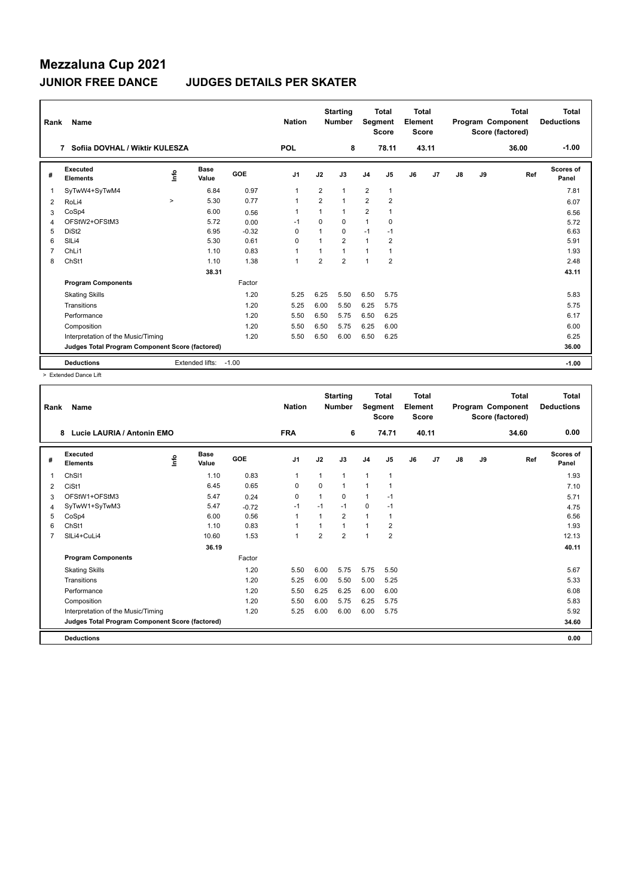## **Mezzaluna Cup 2021 JUNIOR FREE DANCE JUDGES DETAILS PER SKATER**

| Rank | Name                                            |         |                      |         | <b>Nation</b>  |                | <b>Starting</b><br><b>Number</b> | Segment        | <b>Total</b><br><b>Score</b> | <b>Total</b><br>Element<br><b>Score</b> |       |    |    | <b>Total</b><br>Program Component<br>Score (factored) | Total<br><b>Deductions</b> |
|------|-------------------------------------------------|---------|----------------------|---------|----------------|----------------|----------------------------------|----------------|------------------------------|-----------------------------------------|-------|----|----|-------------------------------------------------------|----------------------------|
|      | Sofiia DOVHAL / Wiktir KULESZA<br>7             |         |                      |         | <b>POL</b>     |                | 8                                |                | 78.11                        |                                         | 43.11 |    |    | 36.00                                                 | $-1.00$                    |
| #    | Executed<br><b>Elements</b>                     | ۴       | <b>Base</b><br>Value | GOE     | J <sub>1</sub> | J2             | J3                               | J <sub>4</sub> | J <sub>5</sub>               | J6                                      | J7    | J8 | J9 | Ref                                                   | <b>Scores of</b><br>Panel  |
| 1    | SyTwW4+SyTwM4                                   |         | 6.84                 | 0.97    | 1              | $\overline{2}$ | 1                                | $\overline{2}$ | 1                            |                                         |       |    |    |                                                       | 7.81                       |
| 2    | RoLi4                                           | $\,>\,$ | 5.30                 | 0.77    | $\mathbf{1}$   | $\overline{2}$ | $\mathbf{1}$                     | $\overline{2}$ | $\overline{2}$               |                                         |       |    |    |                                                       | 6.07                       |
| 3    | CoSp4                                           |         | 6.00                 | 0.56    | $\mathbf{1}$   | 1              | 1                                | $\overline{2}$ | 1                            |                                         |       |    |    |                                                       | 6.56                       |
| 4    | OFStW2+OFStM3                                   |         | 5.72                 | 0.00    | $-1$           | $\Omega$       | $\Omega$                         | $\mathbf{1}$   | 0                            |                                         |       |    |    |                                                       | 5.72                       |
| 5    | DiSt <sub>2</sub>                               |         | 6.95                 | $-0.32$ | $\Omega$       | 1              | 0                                | $-1$           | $-1$                         |                                         |       |    |    |                                                       | 6.63                       |
| 6    | SILi4                                           |         | 5.30                 | 0.61    | $\Omega$       | 1              | $\overline{2}$                   | $\mathbf{1}$   | 2                            |                                         |       |    |    |                                                       | 5.91                       |
| 7    | ChLi1                                           |         | 1.10                 | 0.83    | $\mathbf{1}$   | 1              | 1                                | $\overline{1}$ | 1                            |                                         |       |    |    |                                                       | 1.93                       |
| 8    | ChSt1                                           |         | 1.10                 | 1.38    | $\mathbf{1}$   | $\overline{2}$ | $\overline{2}$                   | $\overline{1}$ | $\overline{2}$               |                                         |       |    |    |                                                       | 2.48                       |
|      |                                                 |         | 38.31                |         |                |                |                                  |                |                              |                                         |       |    |    |                                                       | 43.11                      |
|      | <b>Program Components</b>                       |         |                      | Factor  |                |                |                                  |                |                              |                                         |       |    |    |                                                       |                            |
|      | <b>Skating Skills</b>                           |         |                      | 1.20    | 5.25           | 6.25           | 5.50                             | 6.50           | 5.75                         |                                         |       |    |    |                                                       | 5.83                       |
|      | Transitions                                     |         |                      | 1.20    | 5.25           | 6.00           | 5.50                             | 6.25           | 5.75                         |                                         |       |    |    |                                                       | 5.75                       |
|      | Performance                                     |         |                      | 1.20    | 5.50           | 6.50           | 5.75                             | 6.50           | 6.25                         |                                         |       |    |    |                                                       | 6.17                       |
|      | Composition                                     |         |                      | 1.20    | 5.50           | 6.50           | 5.75                             | 6.25           | 6.00                         |                                         |       |    |    |                                                       | 6.00                       |
|      | Interpretation of the Music/Timing              |         |                      | 1.20    | 5.50           | 6.50           | 6.00                             | 6.50           | 6.25                         |                                         |       |    |    |                                                       | 6.25                       |
|      | Judges Total Program Component Score (factored) |         |                      |         |                |                |                                  |                |                              |                                         |       |    |    |                                                       | 36.00                      |
|      | <b>Deductions</b>                               |         | Extended lifts:      | $-1.00$ |                |                |                                  |                |                              |                                         |       |    |    |                                                       | $-1.00$                    |

> Extended Dance Lift

| Rank | <b>Name</b>                                     |      |                      |            | <b>Nation</b>  |          | <b>Starting</b><br><b>Number</b> | Segment        | <b>Total</b><br><b>Score</b> | <b>Total</b><br>Element<br>Score |       |    |    | <b>Total</b><br>Program Component<br>Score (factored) | <b>Total</b><br><b>Deductions</b> |
|------|-------------------------------------------------|------|----------------------|------------|----------------|----------|----------------------------------|----------------|------------------------------|----------------------------------|-------|----|----|-------------------------------------------------------|-----------------------------------|
|      | 8<br>Lucie LAURIA / Antonin EMO                 |      |                      |            | <b>FRA</b>     |          | 6                                |                | 74.71                        |                                  | 40.11 |    |    | 34.60                                                 | 0.00                              |
| #    | <b>Executed</b><br><b>Elements</b>              | ١nf٥ | <b>Base</b><br>Value | <b>GOE</b> | J <sub>1</sub> | J2       | J3                               | J <sub>4</sub> | J <sub>5</sub>               | J6                               | J7    | J8 | J9 | Ref                                                   | Scores of<br>Panel                |
| 1    | ChSI1                                           |      | 1.10                 | 0.83       | $\mathbf 1$    | 1        | 1                                | $\overline{1}$ | $\mathbf{1}$                 |                                  |       |    |    |                                                       | 1.93                              |
| 2    | CiSt1                                           |      | 6.45                 | 0.65       | $\mathbf 0$    | $\Omega$ | $\mathbf{1}$                     | 1              | 1                            |                                  |       |    |    |                                                       | 7.10                              |
| 3    | OFStW1+OFStM3                                   |      | 5.47                 | 0.24       | $\Omega$       | 1        | $\Omega$                         | $\mathbf{1}$   | $-1$                         |                                  |       |    |    |                                                       | 5.71                              |
| 4    | SyTwW1+SyTwM3                                   |      | 5.47                 | $-0.72$    | $-1$           | $-1$     | $-1$                             | $\mathbf 0$    | $-1$                         |                                  |       |    |    |                                                       | 4.75                              |
| 5    | CoSp4                                           |      | 6.00                 | 0.56       | $\overline{1}$ |          | $\overline{2}$                   | $\mathbf{1}$   | 1                            |                                  |       |    |    |                                                       | 6.56                              |
| 6    | ChSt1                                           |      | 1.10                 | 0.83       | $\overline{1}$ |          | $\mathbf{1}$                     | $\mathbf{1}$   | 2                            |                                  |       |    |    |                                                       | 1.93                              |
|      | SILi4+CuLi4                                     |      | 10.60                | 1.53       | 1              | 2        | $\overline{2}$                   | $\overline{1}$ | $\overline{2}$               |                                  |       |    |    |                                                       | 12.13                             |
|      |                                                 |      | 36.19                |            |                |          |                                  |                |                              |                                  |       |    |    |                                                       | 40.11                             |
|      | <b>Program Components</b>                       |      |                      | Factor     |                |          |                                  |                |                              |                                  |       |    |    |                                                       |                                   |
|      | <b>Skating Skills</b>                           |      |                      | 1.20       | 5.50           | 6.00     | 5.75                             | 5.75           | 5.50                         |                                  |       |    |    |                                                       | 5.67                              |
|      | Transitions                                     |      |                      | 1.20       | 5.25           | 6.00     | 5.50                             | 5.00           | 5.25                         |                                  |       |    |    |                                                       | 5.33                              |
|      | Performance                                     |      |                      | 1.20       | 5.50           | 6.25     | 6.25                             | 6.00           | 6.00                         |                                  |       |    |    |                                                       | 6.08                              |
|      | Composition                                     |      |                      | 1.20       | 5.50           | 6.00     | 5.75                             | 6.25           | 5.75                         |                                  |       |    |    |                                                       | 5.83                              |
|      | Interpretation of the Music/Timing              |      |                      | 1.20       | 5.25           | 6.00     | 6.00                             | 6.00           | 5.75                         |                                  |       |    |    |                                                       | 5.92                              |
|      | Judges Total Program Component Score (factored) |      |                      |            |                |          |                                  |                |                              |                                  |       |    |    |                                                       | 34.60                             |
|      | <b>Deductions</b>                               |      |                      |            |                |          |                                  |                |                              |                                  |       |    |    |                                                       | 0.00                              |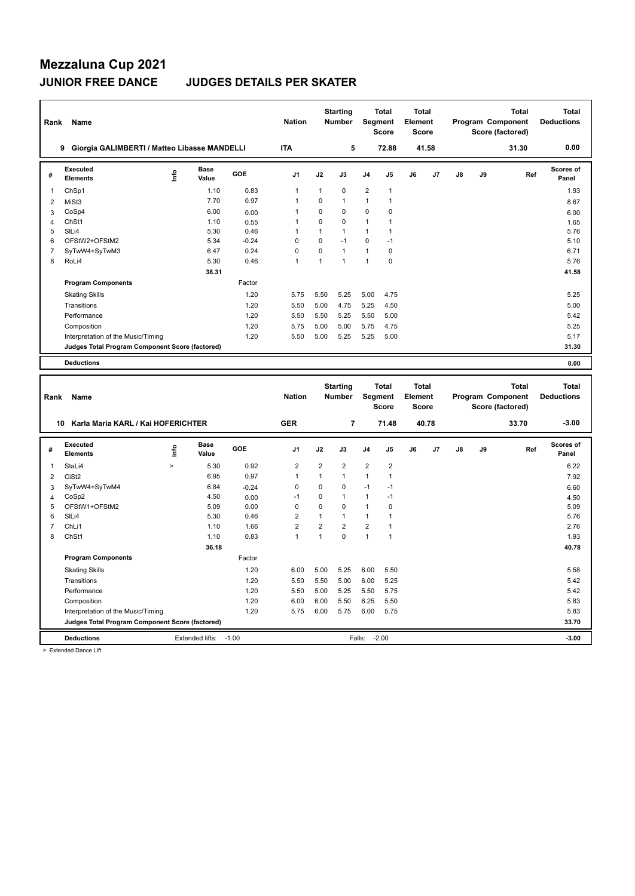### **JUNIOR FREE DANCE JUDGES DETAILS PER SKATER**

| Rank           | Name                                            |               |                      |            | <b>Nation</b>  |                  | <b>Starting</b><br><b>Number</b> |                | <b>Total</b><br>Segment<br><b>Score</b> | <b>Total</b><br>Element<br><b>Score</b> |       |    | Program Component | Score (factored) | <b>Total</b> | <b>Total</b><br><b>Deductions</b> |
|----------------|-------------------------------------------------|---------------|----------------------|------------|----------------|------------------|----------------------------------|----------------|-----------------------------------------|-----------------------------------------|-------|----|-------------------|------------------|--------------|-----------------------------------|
|                | 9 Giorgia GALIMBERTI / Matteo Libasse MANDELLI  |               |                      |            | <b>ITA</b>     |                  | 5                                |                | 72.88                                   |                                         | 41.58 |    |                   |                  | 31.30        | 0.00                              |
| #              | Executed<br><b>Elements</b>                     | ١nf٥          | <b>Base</b><br>Value | <b>GOE</b> | J <sub>1</sub> | J2               | J3                               | J4             | J5                                      | J6                                      | J7    | J8 | J9                |                  | Ref          | <b>Scores of</b><br>Panel         |
| $\mathbf{1}$   | ChSp1                                           |               | 1.10                 | 0.83       | $\mathbf{1}$   | $\mathbf{1}$     | 0                                | $\overline{2}$ | $\mathbf{1}$                            |                                         |       |    |                   |                  |              | 1.93                              |
| $\overline{2}$ | MiSt3                                           |               | 7.70                 | 0.97       | $\mathbf{1}$   | $\mathbf 0$      | $\mathbf{1}$                     | $\mathbf{1}$   | 1                                       |                                         |       |    |                   |                  |              | 8.67                              |
| 3              | CoSp4                                           |               | 6.00                 | 0.00       | $\mathbf{1}$   | $\Omega$         | 0                                | 0              | $\mathbf 0$                             |                                         |       |    |                   |                  |              | 6.00                              |
| 4              | ChSt1                                           |               | 1.10                 | 0.55       | 1              | $\pmb{0}$        | 0                                | 1              | 1                                       |                                         |       |    |                   |                  |              | 1.65                              |
| 5              | SILi4                                           |               | 5.30                 | 0.46       | $\mathbf{1}$   | $\mathbf{1}$     | $\mathbf{1}$                     | 1              | $\mathbf{1}$                            |                                         |       |    |                   |                  |              | 5.76                              |
| 6              | OFStW2+OFStM2                                   |               | 5.34                 | $-0.24$    | $\mathbf 0$    | $\mathbf 0$      | $-1$                             | 0              | $-1$                                    |                                         |       |    |                   |                  |              | 5.10                              |
| $\overline{7}$ | SyTwW4+SyTwM3                                   |               | 6.47                 | 0.24       | $\mathbf 0$    | $\mathbf 0$      | $\mathbf{1}$                     | 1              | $\mathbf 0$                             |                                         |       |    |                   |                  |              | 6.71                              |
| 8              | RoLi4                                           |               | 5.30                 | 0.46       | $\mathbf{1}$   | $\mathbf{1}$     | $\mathbf{1}$                     | $\mathbf{1}$   | $\pmb{0}$                               |                                         |       |    |                   |                  |              | 5.76                              |
|                |                                                 |               | 38.31                |            |                |                  |                                  |                |                                         |                                         |       |    |                   |                  |              | 41.58                             |
|                | <b>Program Components</b>                       |               |                      | Factor     |                |                  |                                  |                |                                         |                                         |       |    |                   |                  |              |                                   |
|                | <b>Skating Skills</b>                           |               |                      | 1.20       | 5.75           | 5.50             | 5.25                             | 5.00           | 4.75                                    |                                         |       |    |                   |                  |              | 5.25                              |
|                | Transitions                                     |               |                      | 1.20       | 5.50           | 5.00             | 4.75                             | 5.25           | 4.50                                    |                                         |       |    |                   |                  |              | 5.00                              |
|                | Performance                                     |               |                      | 1.20       | 5.50           | 5.50             | 5.25                             | 5.50           | 5.00                                    |                                         |       |    |                   |                  |              | 5.42                              |
|                | Composition                                     |               |                      | 1.20       | 5.75           | 5.00             | 5.00                             | 5.75           | 4.75                                    |                                         |       |    |                   |                  |              | 5.25                              |
|                | Interpretation of the Music/Timing              |               |                      | 1.20       | 5.50           | 5.00             | 5.25                             | 5.25           | 5.00                                    |                                         |       |    |                   |                  |              | 5.17                              |
|                | Judges Total Program Component Score (factored) |               |                      |            |                |                  |                                  |                |                                         |                                         |       |    |                   |                  |              | 31.30                             |
|                | <b>Deductions</b>                               |               |                      |            |                |                  |                                  |                |                                         |                                         |       |    |                   |                  |              | 0.00                              |
|                |                                                 |               |                      |            |                |                  |                                  |                |                                         |                                         |       |    |                   |                  |              |                                   |
| Rank           | Name                                            |               |                      |            | <b>Nation</b>  |                  | <b>Starting</b><br><b>Number</b> |                | <b>Total</b><br>Segment<br><b>Score</b> | <b>Total</b><br>Element<br><b>Score</b> |       |    | Program Component | Score (factored) | <b>Total</b> | <b>Total</b><br><b>Deductions</b> |
|                | 10 Karla Maria KARL / Kai HOFERICHTER           |               |                      |            | <b>GER</b>     |                  | 7                                |                | 71.48                                   |                                         | 40.78 |    |                   |                  | 33.70        | $-3.00$                           |
| #              | <b>Executed</b><br><b>Elements</b>              | Info          | <b>Base</b><br>Value | <b>GOE</b> | J <sub>1</sub> | J2               | J3                               | J4             | J5                                      | J6                                      | J7    | J8 | J9                |                  | Ref          | Scores of<br>Panel                |
| 1              | StaLi4                                          | $\rightarrow$ | 5.30                 | 0.92       | $\overline{2}$ | $\boldsymbol{2}$ | $\overline{\mathbf{c}}$          | 2              | $\overline{\mathbf{c}}$                 |                                         |       |    |                   |                  |              | 6.22                              |
| $\overline{2}$ | CiSt <sub>2</sub>                               |               | 6.95                 | 0.97       | $\mathbf{1}$   | $\mathbf{1}$     | $\mathbf{1}$                     | $\mathbf{1}$   | $\mathbf{1}$                            |                                         |       |    |                   |                  |              | 7.92                              |
| 3              | SyTwW4+SyTwM4                                   |               | 6.84                 | $-0.24$    | $\mathbf 0$    | $\mathbf 0$      | 0                                | $-1$           | $-1$                                    |                                         |       |    |                   |                  |              | 6.60                              |
| 4              | CoSp2                                           |               | 4.50                 | 0.00       | $-1$           | $\mathbf 0$      | $\mathbf{1}$                     | 1              | $-1$                                    |                                         |       |    |                   |                  |              | 4.50                              |
| 5              | OFStW1+OFStM2                                   |               | 5.09                 | 0.00       | $\mathbf 0$    | $\mathbf 0$      | 0                                | 1              | $\mathbf 0$                             |                                         |       |    |                   |                  |              | 5.09                              |
| 6              | SILi4                                           |               | 5.30                 | 0.46       | $\overline{2}$ | $\mathbf{1}$     | $\mathbf{1}$                     | 1              | $\mathbf{1}$                            |                                         |       |    |                   |                  |              | 5.76                              |
| $\overline{7}$ | ChL <sub>i1</sub>                               |               | 1.10                 | 1.66       | $\overline{2}$ | $\overline{2}$   | $\overline{2}$                   | $\overline{2}$ | $\mathbf{1}$                            |                                         |       |    |                   |                  |              | 2.76                              |
| 8              | ChSt1                                           |               | 1.10                 | 0.83       | $\mathbf{1}$   | 1                | $\mathbf 0$                      | $\mathbf{1}$   | $\mathbf{1}$                            |                                         |       |    |                   |                  |              | 1.93                              |
|                |                                                 |               | 36.18                |            |                |                  |                                  |                |                                         |                                         |       |    |                   |                  |              | 40.78                             |
|                | <b>Program Components</b>                       |               |                      | Factor     |                |                  |                                  |                |                                         |                                         |       |    |                   |                  |              |                                   |
|                | <b>Skating Skills</b>                           |               |                      | 1.20       | 6.00           | 5.00             | 5.25                             | 6.00           | 5.50                                    |                                         |       |    |                   |                  |              | 5.58                              |
|                | Transitions                                     |               |                      | 1.20       | 5.50           | 5.50             | 5.00                             | 6.00           | 5.25                                    |                                         |       |    |                   |                  |              | 5.42                              |
|                | Performance                                     |               |                      | 1.20       | 5.50           | 5.00             | 5.25                             | 5.50           | 5.75                                    |                                         |       |    |                   |                  |              | 5.42                              |
|                | Composition                                     |               |                      | 1.20       | 6.00           | 6.00             | 5.50                             | 6.25           | 5.50                                    |                                         |       |    |                   |                  |              | 5.83                              |
|                | Interpretation of the Music/Timing              |               |                      | 1.20       | 5.75           | 6.00             | 5.75                             | 6.00           | 5.75                                    |                                         |       |    |                   |                  |              | 5.83                              |
|                | Judges Total Program Component Score (factored) |               |                      |            |                |                  |                                  |                |                                         |                                         |       |    |                   |                  |              | 33.70                             |

> Extended Dance Lift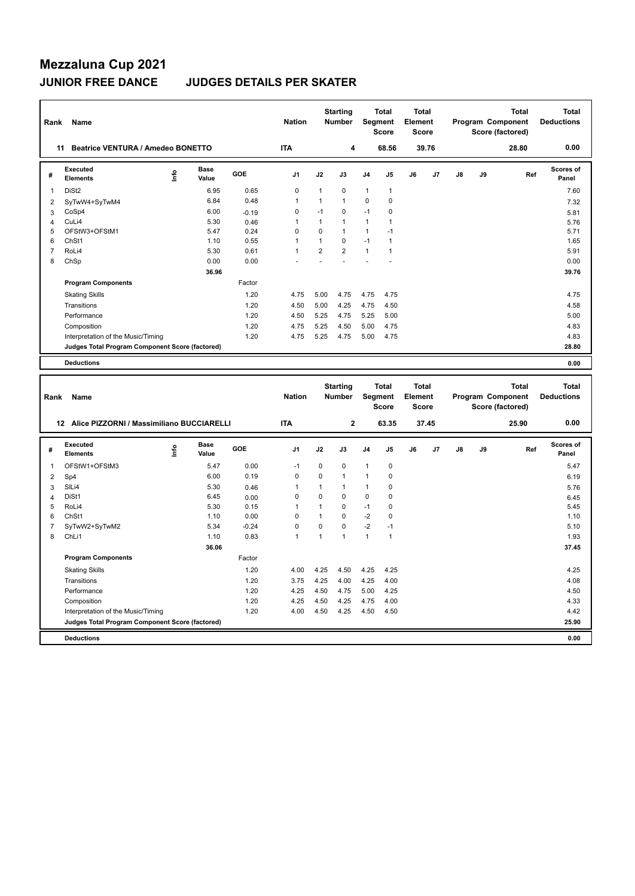## **Mezzaluna Cup 2021 JUNIOR FREE DANCE JUDGES DETAILS PER SKATER**

| Rank           | Name                                            |      |                      |              | <b>Nation</b>  |                | <b>Starting</b><br><b>Number</b> |                | <b>Total</b><br>Segment<br><b>Score</b> | <b>Total</b><br>Element<br><b>Score</b> |       |    |    | Program Component<br>Score (factored) | <b>Total</b> | <b>Total</b><br><b>Deductions</b> |
|----------------|-------------------------------------------------|------|----------------------|--------------|----------------|----------------|----------------------------------|----------------|-----------------------------------------|-----------------------------------------|-------|----|----|---------------------------------------|--------------|-----------------------------------|
|                | Beatrice VENTURA / Amedeo BONETTO<br>11         |      |                      |              | <b>ITA</b>     |                | 4                                |                | 68.56                                   |                                         | 39.76 |    |    |                                       | 28.80        | 0.00                              |
| #              | <b>Executed</b><br><b>Elements</b>              | ١nf٥ | <b>Base</b><br>Value | GOE          | J <sub>1</sub> | J2             | J3                               | J4             | J5                                      | J6                                      | J7    | J8 | J9 |                                       | Ref          | <b>Scores of</b><br>Panel         |
| $\mathbf{1}$   | DiSt <sub>2</sub>                               |      | 6.95                 | 0.65         | $\mathbf 0$    | $\mathbf{1}$   | $\mathbf 0$                      | $\mathbf{1}$   | $\mathbf{1}$                            |                                         |       |    |    |                                       |              | 7.60                              |
| $\overline{c}$ | SyTwW4+SyTwM4                                   |      | 6.84                 | 0.48         | $\mathbf{1}$   | 1              | 1                                | 0              | $\pmb{0}$                               |                                         |       |    |    |                                       |              | 7.32                              |
| 3              | CoSp4                                           |      | 6.00                 | $-0.19$      | $\mathbf 0$    | $-1$           | $\mathbf 0$                      | $-1$           | $\pmb{0}$                               |                                         |       |    |    |                                       |              | 5.81                              |
| 4              | CuLi4                                           |      | 5.30                 | 0.46         | $\mathbf{1}$   | $\mathbf{1}$   | $\mathbf{1}$                     | 1              | $\mathbf{1}$                            |                                         |       |    |    |                                       |              | 5.76                              |
| 5              | OFStW3+OFStM1                                   |      | 5.47                 | 0.24         | $\mathbf 0$    | $\mathbf 0$    | $\mathbf{1}$                     | $\mathbf{1}$   | $-1$                                    |                                         |       |    |    |                                       |              | 5.71                              |
| 6              | ChSt1                                           |      | 1.10                 | 0.55         | $\overline{1}$ | $\mathbf{1}$   | $\mathbf 0$                      | $-1$           | $\mathbf{1}$                            |                                         |       |    |    |                                       |              | 1.65                              |
| $\overline{7}$ | RoLi4                                           |      | 5.30                 | 0.61         | $\mathbf{1}$   | $\overline{2}$ | $\overline{2}$                   | $\mathbf{1}$   | $\mathbf{1}$                            |                                         |       |    |    |                                       |              | 5.91                              |
| 8              | ChSp                                            |      | 0.00                 | 0.00         |                | L              |                                  |                |                                         |                                         |       |    |    |                                       |              | 0.00                              |
|                |                                                 |      | 36.96                |              |                |                |                                  |                |                                         |                                         |       |    |    |                                       |              | 39.76                             |
|                | <b>Program Components</b>                       |      |                      | Factor       |                |                |                                  |                |                                         |                                         |       |    |    |                                       |              |                                   |
|                | <b>Skating Skills</b>                           |      |                      | 1.20         | 4.75           | 5.00           | 4.75                             | 4.75           | 4.75                                    |                                         |       |    |    |                                       |              | 4.75                              |
|                | Transitions                                     |      |                      | 1.20         | 4.50           | 5.00           | 4.25                             | 4.75           | 4.50                                    |                                         |       |    |    |                                       |              | 4.58                              |
|                | Performance                                     |      |                      | 1.20         | 4.50           | 5.25           | 4.75                             | 5.25           | 5.00                                    |                                         |       |    |    |                                       |              | 5.00                              |
|                | Composition                                     |      |                      | 1.20         | 4.75           | 5.25           | 4.50                             | 5.00           | 4.75                                    |                                         |       |    |    |                                       |              | 4.83                              |
|                | Interpretation of the Music/Timing              |      |                      | 1.20         | 4.75           | 5.25           | 4.75                             | 5.00           | 4.75                                    |                                         |       |    |    |                                       |              | 4.83                              |
|                | Judges Total Program Component Score (factored) |      |                      |              |                |                |                                  |                |                                         |                                         |       |    |    |                                       |              | 28.80                             |
|                | <b>Deductions</b>                               |      |                      |              |                |                |                                  |                |                                         |                                         |       |    |    |                                       |              | 0.00                              |
|                |                                                 |      |                      |              |                |                |                                  |                |                                         |                                         |       |    |    |                                       |              |                                   |
|                |                                                 |      |                      |              |                |                | <b>Starting</b>                  |                | <b>Total</b>                            | <b>Total</b>                            |       |    |    |                                       | <b>Total</b> | <b>Total</b>                      |
| Rank           | Name                                            |      |                      |              | <b>Nation</b>  |                | Number                           |                | Segment<br><b>Score</b>                 | Element<br><b>Score</b>                 |       |    |    | Program Component<br>Score (factored) |              | <b>Deductions</b>                 |
|                | 12 Alice PIZZORNI / Massimiliano BUCCIARELLI    |      |                      |              | <b>ITA</b>     |                | $\mathbf 2$                      |                | 63.35                                   |                                         | 37.45 |    |    |                                       | 25.90        | 0.00                              |
| #              | Executed<br><b>Elements</b>                     | Info | <b>Base</b><br>Value | GOE          | J <sub>1</sub> | J2             | J3                               | J <sub>4</sub> | J5                                      | J6                                      | J7    | J8 | J9 |                                       | Ref          | <b>Scores of</b><br>Panel         |
| 1              | OFStW1+OFStM3                                   |      | 5.47                 | 0.00         | $-1$           | 0              | 0                                | 1              | $\pmb{0}$                               |                                         |       |    |    |                                       |              | 5.47                              |
|                |                                                 |      | 6.00                 | 0.19         | $\mathbf 0$    | $\pmb{0}$      | $\mathbf{1}$                     | 1              | $\pmb{0}$                               |                                         |       |    |    |                                       |              | 6.19                              |
| $\overline{2}$ | Sp4<br>SILi4                                    |      | 5.30                 |              | $\mathbf{1}$   | $\mathbf{1}$   | $\mathbf{1}$                     | 1              | $\pmb{0}$                               |                                         |       |    |    |                                       |              |                                   |
| 3              | DiSt1                                           |      | 6.45                 | 0.46         | $\mathbf 0$    | $\mathbf 0$    | 0                                | 0              | $\mathbf 0$                             |                                         |       |    |    |                                       |              | 5.76                              |
| 4<br>5         | RoLi4                                           |      | 5.30                 | 0.00<br>0.15 | $\mathbf{1}$   | $\mathbf{1}$   | $\Omega$                         | $-1$           | $\Omega$                                |                                         |       |    |    |                                       |              | 6.45<br>5.45                      |
| 6              | ChSt1                                           |      | 1.10                 | 0.00         | $\mathbf 0$    | $\mathbf{1}$   | $\mathbf 0$                      | $-2$           | $\pmb{0}$                               |                                         |       |    |    |                                       |              | 1.10                              |
| $\overline{7}$ | SyTwW2+SyTwM2                                   |      | 5.34                 | $-0.24$      | $\mathbf 0$    | $\pmb{0}$      | $\mathbf 0$                      | $-2$           | $-1$                                    |                                         |       |    |    |                                       |              | 5.10                              |
| 8              | ChLi1                                           |      | 1.10                 | 0.83         | $\mathbf{1}$   | $\mathbf{1}$   | $\mathbf{1}$                     | $\mathbf{1}$   | $\mathbf{1}$                            |                                         |       |    |    |                                       |              | 1.93                              |
|                |                                                 |      | 36.06                |              |                |                |                                  |                |                                         |                                         |       |    |    |                                       |              | 37.45                             |
|                | <b>Program Components</b>                       |      |                      | Factor       |                |                |                                  |                |                                         |                                         |       |    |    |                                       |              |                                   |
|                | <b>Skating Skills</b>                           |      |                      | 1.20         | 4.00           | 4.25           | 4.50                             | 4.25           | 4.25                                    |                                         |       |    |    |                                       |              | 4.25                              |
|                | Transitions                                     |      |                      | 1.20         | 3.75           | 4.25           | 4.00                             | 4.25           | 4.00                                    |                                         |       |    |    |                                       |              | 4.08                              |
|                | Performance                                     |      |                      | 1.20         | 4.25           | 4.50           | 4.75                             | 5.00           | 4.25                                    |                                         |       |    |    |                                       |              | 4.50                              |
|                | Composition                                     |      |                      | 1.20         | 4.25           | 4.50           | 4.25                             | 4.75           | 4.00                                    |                                         |       |    |    |                                       |              | 4.33                              |
|                | Interpretation of the Music/Timing              |      |                      | 1.20         | 4.00           | 4.50           | 4.25                             | 4.50           | 4.50                                    |                                         |       |    |    |                                       |              | 4.42                              |
|                | Judges Total Program Component Score (factored) |      |                      |              |                |                |                                  |                |                                         |                                         |       |    |    |                                       |              | 25.90                             |